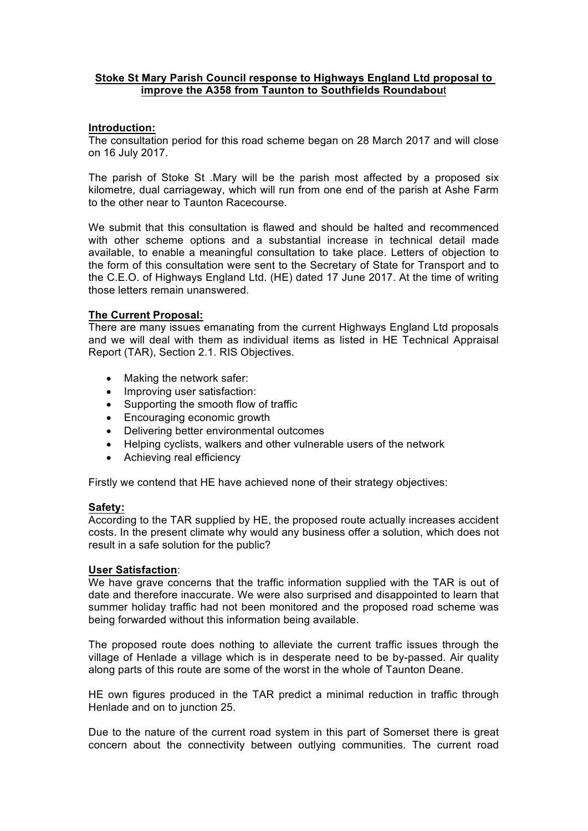# **Stoke St Mary Parish Council response to Highways England Ltd proposal to improve the A358 from Taunton to Southfields Roundabou**t

# **Introduction:**

The consultation period for this road scheme began on 28 March 2017 and will close on 16 July 2017.

The parish of Stoke St .Mary will be the parish most affected by a proposed six kilometre, dual carriageway, which will run from one end of the parish at Ashe Farm to the other near to Taunton Racecourse.

We submit that this consultation is flawed and should be halted and recommenced with other scheme options and a substantial increase in technical detail made available, to enable a meaningful consultation to take place. Letters of objection to the form of this consultation were sent to the Secretary of State for Transport and to the C.E.O. of Highways England Ltd. (HE) dated 17 June 2017. At the time of writing those letters remain unanswered.

# **The Current Proposal:**

There are many issues emanating from the current Highways England Ltd proposals and we will deal with them as individual items as listed in HE Technical Appraisal Report (TAR), Section 2.1. RIS Objectives.

- Making the network safer:
- Improving user satisfaction:
- Supporting the smooth flow of traffic
- Encouraging economic growth
- Delivering better environmental outcomes
- Helping cyclists, walkers and other vulnerable users of the network
- Achieving real efficiency

Firstly we contend that HE have achieved none of their strategy objectives:

#### **Safety:**

According to the TAR supplied by HE, the proposed route actually increases accident costs. In the present climate why would any business offer a solution, which does not result in a safe solution for the public?

#### **User Satisfaction**:

We have grave concerns that the traffic information supplied with the TAR is out of date and therefore inaccurate. We were also surprised and disappointed to learn that summer holiday traffic had not been monitored and the proposed road scheme was being forwarded without this information being available.

The proposed route does nothing to alleviate the current traffic issues through the village of Henlade a village which is in desperate need to be by-passed. Air quality along parts of this route are some of the worst in the whole of Taunton Deane.

HE own figures produced in the TAR predict a minimal reduction in traffic through Henlade and on to junction 25.

Due to the nature of the current road system in this part of Somerset there is great concern about the connectivity between outlying communities. The current road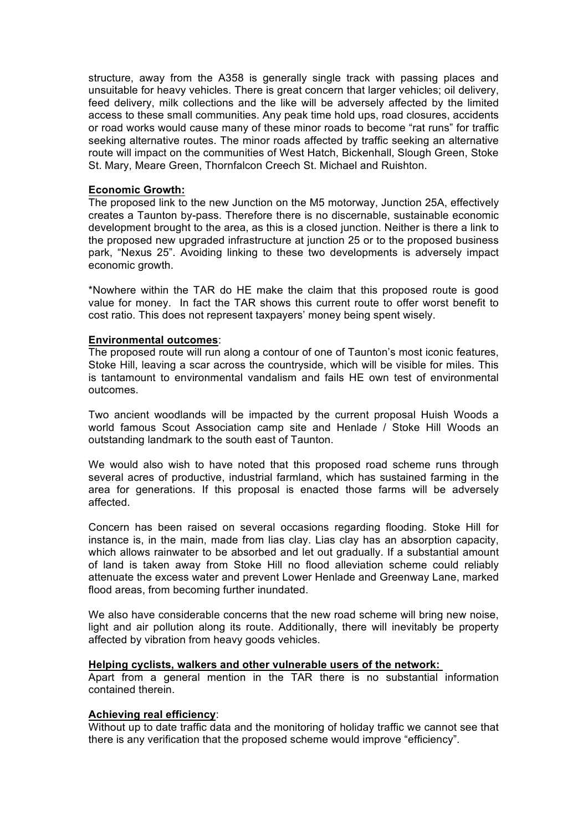structure, away from the A358 is generally single track with passing places and unsuitable for heavy vehicles. There is great concern that larger vehicles; oil delivery, feed delivery, milk collections and the like will be adversely affected by the limited access to these small communities. Any peak time hold ups, road closures, accidents or road works would cause many of these minor roads to become "rat runs" for traffic seeking alternative routes. The minor roads affected by traffic seeking an alternative route will impact on the communities of West Hatch, Bickenhall, Slough Green, Stoke St. Mary, Meare Green, Thornfalcon Creech St. Michael and Ruishton.

### **Economic Growth:**

The proposed link to the new Junction on the M5 motorway, Junction 25A, effectively creates a Taunton by-pass. Therefore there is no discernable, sustainable economic development brought to the area, as this is a closed junction. Neither is there a link to the proposed new upgraded infrastructure at junction 25 or to the proposed business park, "Nexus 25". Avoiding linking to these two developments is adversely impact economic growth.

\*Nowhere within the TAR do HE make the claim that this proposed route is good value for money. In fact the TAR shows this current route to offer worst benefit to cost ratio. This does not represent taxpayers' money being spent wisely.

#### **Environmental outcomes**:

The proposed route will run along a contour of one of Taunton's most iconic features, Stoke Hill, leaving a scar across the countryside, which will be visible for miles. This is tantamount to environmental vandalism and fails HE own test of environmental outcomes.

Two ancient woodlands will be impacted by the current proposal Huish Woods a world famous Scout Association camp site and Henlade / Stoke Hill Woods an outstanding landmark to the south east of Taunton.

We would also wish to have noted that this proposed road scheme runs through several acres of productive, industrial farmland, which has sustained farming in the area for generations. If this proposal is enacted those farms will be adversely affected.

Concern has been raised on several occasions regarding flooding. Stoke Hill for instance is, in the main, made from lias clay. Lias clay has an absorption capacity, which allows rainwater to be absorbed and let out gradually. If a substantial amount of land is taken away from Stoke Hill no flood alleviation scheme could reliably attenuate the excess water and prevent Lower Henlade and Greenway Lane, marked flood areas, from becoming further inundated.

We also have considerable concerns that the new road scheme will bring new noise, light and air pollution along its route. Additionally, there will inevitably be property affected by vibration from heavy goods vehicles.

#### **Helping cyclists, walkers and other vulnerable users of the network:**

Apart from a general mention in the TAR there is no substantial information contained therein.

# **Achieving real efficiency**:

Without up to date traffic data and the monitoring of holiday traffic we cannot see that there is any verification that the proposed scheme would improve "efficiency".